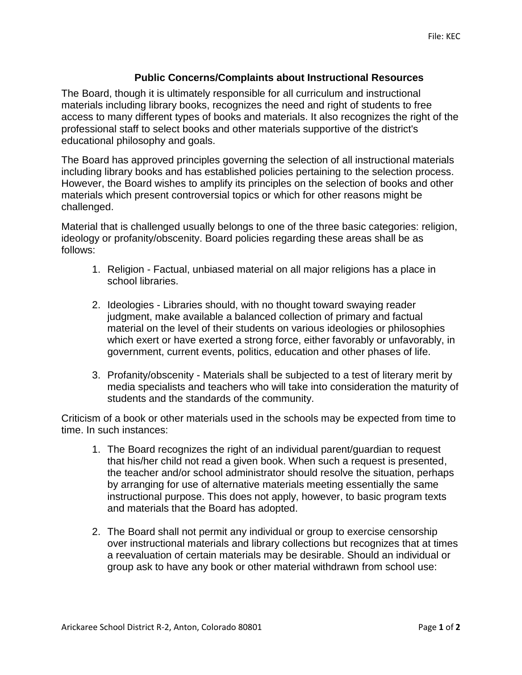## **Public Concerns/Complaints about Instructional Resources**

The Board, though it is ultimately responsible for all curriculum and instructional materials including library books, recognizes the need and right of students to free access to many different types of books and materials. It also recognizes the right of the professional staff to select books and other materials supportive of the district's educational philosophy and goals.

The Board has approved principles governing the selection of all instructional materials including library books and has established policies pertaining to the selection process. However, the Board wishes to amplify its principles on the selection of books and other materials which present controversial topics or which for other reasons might be challenged.

Material that is challenged usually belongs to one of the three basic categories: religion, ideology or profanity/obscenity. Board policies regarding these areas shall be as follows:

- 1. Religion Factual, unbiased material on all major religions has a place in school libraries.
- 2. Ideologies Libraries should, with no thought toward swaying reader judgment, make available a balanced collection of primary and factual material on the level of their students on various ideologies or philosophies which exert or have exerted a strong force, either favorably or unfavorably, in government, current events, politics, education and other phases of life.
- 3. Profanity/obscenity Materials shall be subjected to a test of literary merit by media specialists and teachers who will take into consideration the maturity of students and the standards of the community.

Criticism of a book or other materials used in the schools may be expected from time to time. In such instances:

- 1. The Board recognizes the right of an individual parent/guardian to request that his/her child not read a given book. When such a request is presented, the teacher and/or school administrator should resolve the situation, perhaps by arranging for use of alternative materials meeting essentially the same instructional purpose. This does not apply, however, to basic program texts and materials that the Board has adopted.
- 2. The Board shall not permit any individual or group to exercise censorship over instructional materials and library collections but recognizes that at times a reevaluation of certain materials may be desirable. Should an individual or group ask to have any book or other material withdrawn from school use: